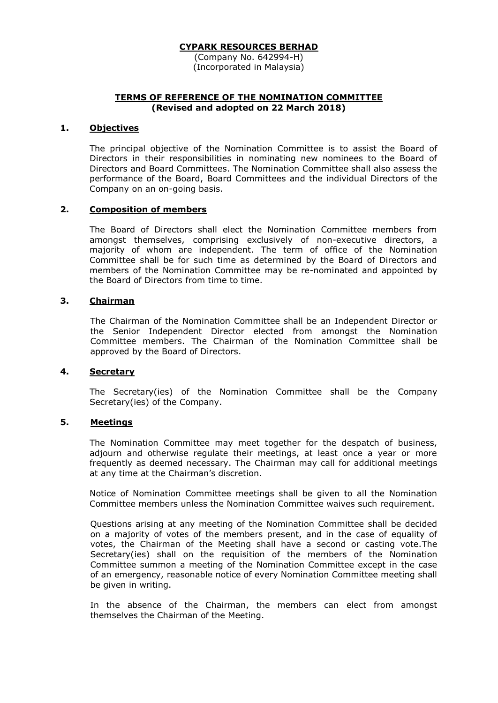(Company No. 642994-H) (Incorporated in Malaysia)

## **TERMS OF REFERENCE OF THE NOMINATION COMMITTEE (Revised and adopted on 22 March 2018)**

# **1. Objectives**

The principal objective of the Nomination Committee is to assist the Board of Directors in their responsibilities in nominating new nominees to the Board of Directors and Board Committees. The Nomination Committee shall also assess the performance of the Board, Board Committees and the individual Directors of the Company on an on-going basis.

## **2. Composition of members**

The Board of Directors shall elect the Nomination Committee members from amongst themselves, comprising exclusively of non-executive directors, a majority of whom are independent. The term of office of the Nomination Committee shall be for such time as determined by the Board of Directors and members of the Nomination Committee may be re-nominated and appointed by the Board of Directors from time to time.

# **3. Chairman**

The Chairman of the Nomination Committee shall be an Independent Director or the Senior Independent Director elected from amongst the Nomination Committee members. The Chairman of the Nomination Committee shall be approved by the Board of Directors.

# **4. Secretary**

The Secretary(ies) of the Nomination Committee shall be the Company Secretary(ies) of the Company.

## **5. Meetings**

The Nomination Committee may meet together for the despatch of business, adjourn and otherwise regulate their meetings, at least once a year or more frequently as deemed necessary. The Chairman may call for additional meetings at any time at the Chairman's discretion.

Notice of Nomination Committee meetings shall be given to all the Nomination Committee members unless the Nomination Committee waives such requirement.

Questions arising at any meeting of the Nomination Committee shall be decided on a majority of votes of the members present, and in the case of equality of votes, the Chairman of the Meeting shall have a second or casting vote.The Secretary(ies) shall on the requisition of the members of the Nomination Committee summon a meeting of the Nomination Committee except in the case of an emergency, reasonable notice of every Nomination Committee meeting shall be given in writing.

In the absence of the Chairman, the members can elect from amongst themselves the Chairman of the Meeting.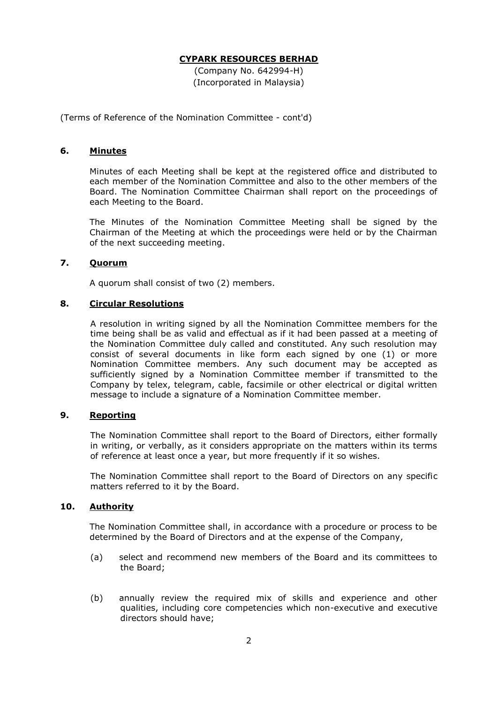(Company No. 642994-H) (Incorporated in Malaysia)

(Terms of Reference of the Nomination Committee - cont'd)

#### **6. Minutes**

Minutes of each Meeting shall be kept at the registered office and distributed to each member of the Nomination Committee and also to the other members of the Board. The Nomination Committee Chairman shall report on the proceedings of each Meeting to the Board.

The Minutes of the Nomination Committee Meeting shall be signed by the Chairman of the Meeting at which the proceedings were held or by the Chairman of the next succeeding meeting.

# **7. Quorum**

A quorum shall consist of two (2) members.

### **8. Circular Resolutions**

A resolution in writing signed by all the Nomination Committee members for the time being shall be as valid and effectual as if it had been passed at a meeting of the Nomination Committee duly called and constituted. Any such resolution may consist of several documents in like form each signed by one (1) or more Nomination Committee members. Any such document may be accepted as sufficiently signed by a Nomination Committee member if transmitted to the Company by telex, telegram, cable, facsimile or other electrical or digital written message to include a signature of a Nomination Committee member.

# **9. Reporting**

The Nomination Committee shall report to the Board of Directors, either formally in writing, or verbally, as it considers appropriate on the matters within its terms of reference at least once a year, but more frequently if it so wishes.

The Nomination Committee shall report to the Board of Directors on any specific matters referred to it by the Board.

# **10. Authority**

The Nomination Committee shall, in accordance with a procedure or process to be determined by the Board of Directors and at the expense of the Company,

- (a) select and recommend new members of the Board and its committees to the Board;
- (b) annually review the required mix of skills and experience and other qualities, including core competencies which non-executive and executive directors should have;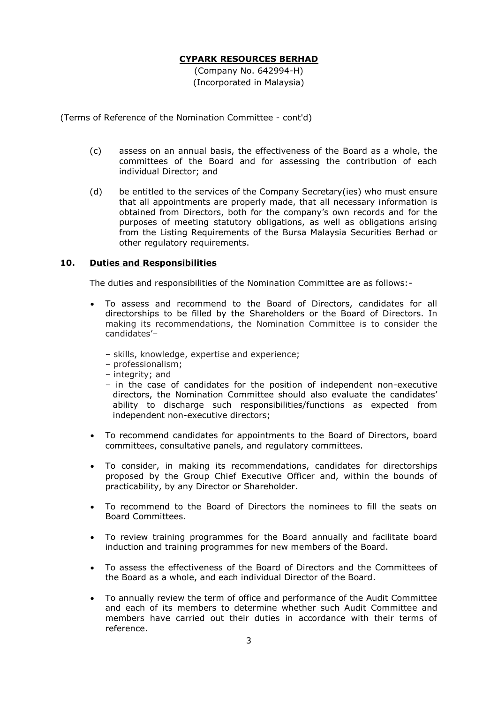(Company No. 642994-H) (Incorporated in Malaysia)

(Terms of Reference of the Nomination Committee - cont'd)

- (c) assess on an annual basis, the effectiveness of the Board as a whole, the committees of the Board and for assessing the contribution of each individual Director; and
- (d) be entitled to the services of the Company Secretary(ies) who must ensure that all appointments are properly made, that all necessary information is obtained from Directors, both for the company's own records and for the purposes of meeting statutory obligations, as well as obligations arising from the Listing Requirements of the Bursa Malaysia Securities Berhad or other regulatory requirements.

## **10. Duties and Responsibilities**

The duties and responsibilities of the Nomination Committee are as follows:-

- To assess and recommend to the Board of Directors, candidates for all directorships to be filled by the Shareholders or the Board of Directors. In making its recommendations, the Nomination Committee is to consider the candidates'–
	- skills, knowledge, expertise and experience;
	- professionalism;
	- integrity; and
	- in the case of candidates for the position of independent non-executive directors, the Nomination Committee should also evaluate the candidates' ability to discharge such responsibilities/functions as expected from independent non-executive directors;
- To recommend candidates for appointments to the Board of Directors, board committees, consultative panels, and regulatory committees.
- To consider, in making its recommendations, candidates for directorships proposed by the Group Chief Executive Officer and, within the bounds of practicability, by any Director or Shareholder.
- To recommend to the Board of Directors the nominees to fill the seats on Board Committees.
- To review training programmes for the Board annually and facilitate board induction and training programmes for new members of the Board.
- To assess the effectiveness of the Board of Directors and the Committees of the Board as a whole, and each individual Director of the Board.
- To annually review the term of office and performance of the Audit Committee and each of its members to determine whether such Audit Committee and members have carried out their duties in accordance with their terms of reference.